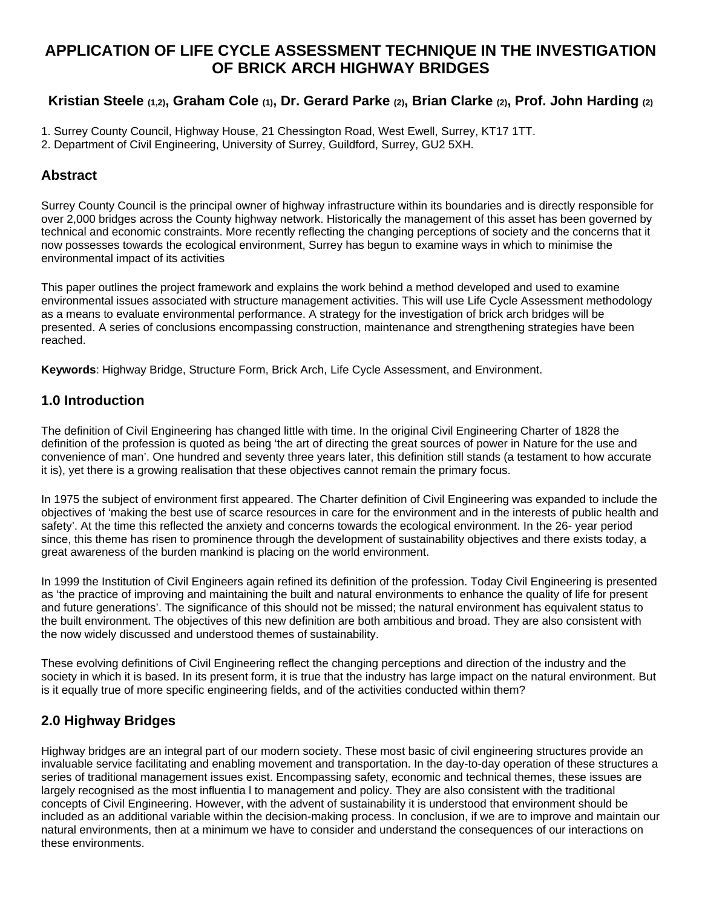# **APPLICATION OF LIFE CYCLE ASSESSMENT TECHNIQUE IN THE INVESTIGATION OF BRICK ARCH HIGHWAY BRIDGES**

### **Kristian Steele (1,2), Graham Cole (1), Dr. Gerard Parke (2), Brian Clarke (2), Prof. John Harding (2)**

- 1. Surrey County Council, Highway House, 21 Chessington Road, West Ewell, Surrey, KT17 1TT.
- 2. Department of Civil Engineering, University of Surrey, Guildford, Surrey, GU2 5XH.

### **Abstract**

Surrey County Council is the principal owner of highway infrastructure within its boundaries and is directly responsible for over 2,000 bridges across the County highway network. Historically the management of this asset has been governed by technical and economic constraints. More recently reflecting the changing perceptions of society and the concerns that it now possesses towards the ecological environment, Surrey has begun to examine ways in which to minimise the environmental impact of its activities

This paper outlines the project framework and explains the work behind a method developed and used to examine environmental issues associated with structure management activities. This will use Life Cycle Assessment methodology as a means to evaluate environmental performance. A strategy for the investigation of brick arch bridges will be presented. A series of conclusions encompassing construction, maintenance and strengthening strategies have been reached.

**Keywords**: Highway Bridge, Structure Form, Brick Arch, Life Cycle Assessment, and Environment.

#### **1.0 Introduction**

The definition of Civil Engineering has changed little with time. In the original Civil Engineering Charter of 1828 the definition of the profession is quoted as being 'the art of directing the great sources of power in Nature for the use and convenience of man'. One hundred and seventy three years later, this definition still stands (a testament to how accurate it is), yet there is a growing realisation that these objectives cannot remain the primary focus.

In 1975 the subject of environment first appeared. The Charter definition of Civil Engineering was expanded to include the objectives of 'making the best use of scarce resources in care for the environment and in the interests of public health and safety'. At the time this reflected the anxiety and concerns towards the ecological environment. In the 26- year period since, this theme has risen to prominence through the development of sustainability objectives and there exists today, a great awareness of the burden mankind is placing on the world environment.

In 1999 the Institution of Civil Engineers again refined its definition of the profession. Today Civil Engineering is presented as 'the practice of improving and maintaining the built and natural environments to enhance the quality of life for present and future generations'. The significance of this should not be missed; the natural environment has equivalent status to the built environment. The objectives of this new definition are both ambitious and broad. They are also consistent with the now widely discussed and understood themes of sustainability.

These evolving definitions of Civil Engineering reflect the changing perceptions and direction of the industry and the society in which it is based. In its present form, it is true that the industry has large impact on the natural environment. But is it equally true of more specific engineering fields, and of the activities conducted within them?

### **2.0 Highway Bridges**

Highway bridges are an integral part of our modern society. These most basic of civil engineering structures provide an invaluable service facilitating and enabling movement and transportation. In the day-to-day operation of these structures a series of traditional management issues exist. Encompassing safety, economic and technical themes, these issues are largely recognised as the most influentia l to management and policy. They are also consistent with the traditional concepts of Civil Engineering. However, with the advent of sustainability it is understood that environment should be included as an additional variable within the decision-making process. In conclusion, if we are to improve and maintain our natural environments, then at a minimum we have to consider and understand the consequences of our interactions on these environments.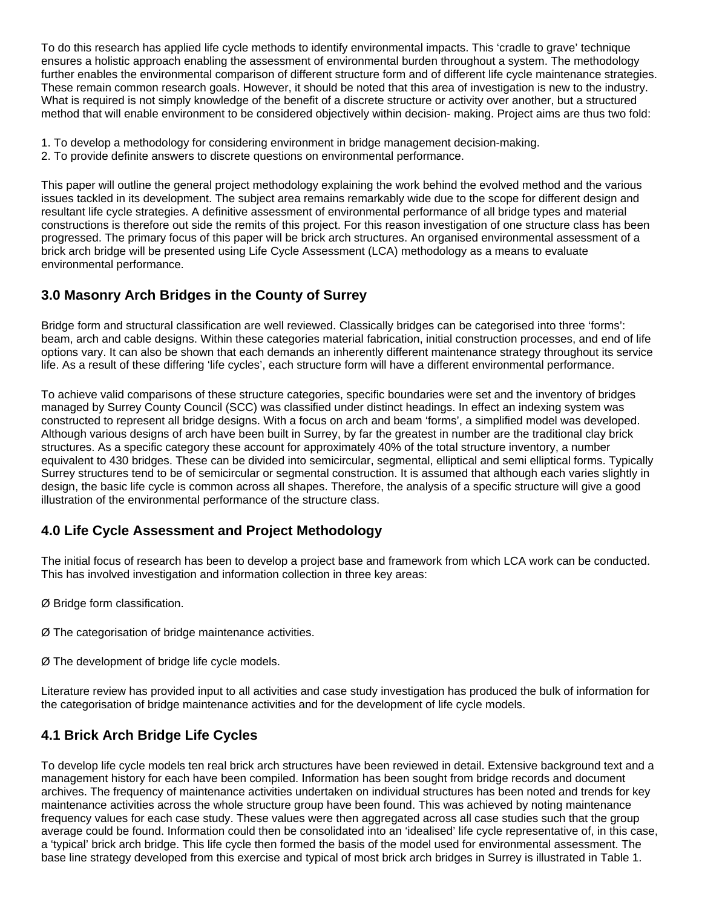To do this research has applied life cycle methods to identify environmental impacts. This 'cradle to grave' technique ensures a holistic approach enabling the assessment of environmental burden throughout a system. The methodology further enables the environmental comparison of different structure form and of different life cycle maintenance strategies. These remain common research goals. However, it should be noted that this area of investigation is new to the industry. What is required is not simply knowledge of the benefit of a discrete structure or activity over another, but a structured method that will enable environment to be considered objectively within decision- making. Project aims are thus two fold:

- 1. To develop a methodology for considering environment in bridge management decision-making.
- 2. To provide definite answers to discrete questions on environmental performance.

This paper will outline the general project methodology explaining the work behind the evolved method and the various issues tackled in its development. The subject area remains remarkably wide due to the scope for different design and resultant life cycle strategies. A definitive assessment of environmental performance of all bridge types and material constructions is therefore out side the remits of this project. For this reason investigation of one structure class has been progressed. The primary focus of this paper will be brick arch structures. An organised environmental assessment of a brick arch bridge will be presented using Life Cycle Assessment (LCA) methodology as a means to evaluate environmental performance.

## **3.0 Masonry Arch Bridges in the County of Surrey**

Bridge form and structural classification are well reviewed. Classically bridges can be categorised into three 'forms': beam, arch and cable designs. Within these categories material fabrication, initial construction processes, and end of life options vary. It can also be shown that each demands an inherently different maintenance strategy throughout its service life. As a result of these differing 'life cycles', each structure form will have a different environmental performance.

To achieve valid comparisons of these structure categories, specific boundaries were set and the inventory of bridges managed by Surrey County Council (SCC) was classified under distinct headings. In effect an indexing system was constructed to represent all bridge designs. With a focus on arch and beam 'forms', a simplified model was developed. Although various designs of arch have been built in Surrey, by far the greatest in number are the traditional clay brick structures. As a specific category these account for approximately 40% of the total structure inventory, a number equivalent to 430 bridges. These can be divided into semicircular, segmental, elliptical and semi elliptical forms. Typically Surrey structures tend to be of semicircular or segmental construction. It is assumed that although each varies slightly in design, the basic life cycle is common across all shapes. Therefore, the analysis of a specific structure will give a good illustration of the environmental performance of the structure class.

### **4.0 Life Cycle Assessment and Project Methodology**

The initial focus of research has been to develop a project base and framework from which LCA work can be conducted. This has involved investigation and information collection in three key areas:

- Ø Bridge form classification.
- Ø The categorisation of bridge maintenance activities.
- Ø The development of bridge life cycle models.

Literature review has provided input to all activities and case study investigation has produced the bulk of information for the categorisation of bridge maintenance activities and for the development of life cycle models.

### **4.1 Brick Arch Bridge Life Cycles**

To develop life cycle models ten real brick arch structures have been reviewed in detail. Extensive background text and a management history for each have been compiled. Information has been sought from bridge records and document archives. The frequency of maintenance activities undertaken on individual structures has been noted and trends for key maintenance activities across the whole structure group have been found. This was achieved by noting maintenance frequency values for each case study. These values were then aggregated across all case studies such that the group average could be found. Information could then be consolidated into an 'idealised' life cycle representative of, in this case, a 'typical' brick arch bridge. This life cycle then formed the basis of the model used for environmental assessment. The base line strategy developed from this exercise and typical of most brick arch bridges in Surrey is illustrated in Table 1.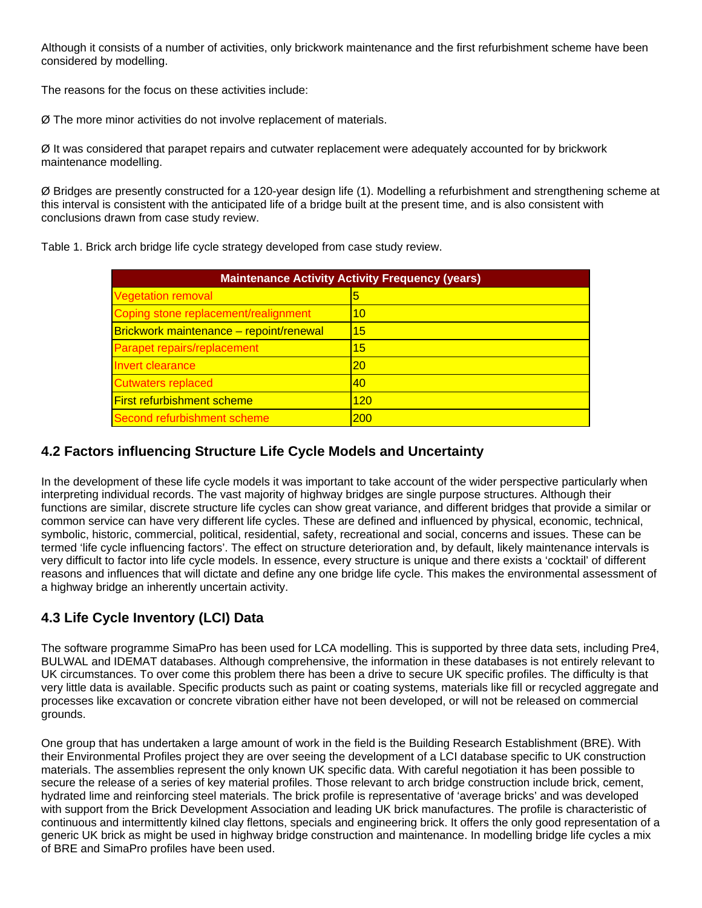Although it consists of a number of activities, only brickwork maintenance and the first refurbishment scheme have been considered by modelling.

The reasons for the focus on these activities include:

Ø The more minor activities do not involve replacement of materials.

Ø It was considered that parapet repairs and cutwater replacement were adequately accounted for by brickwork maintenance modelling.

Ø Bridges are presently constructed for a 120-year design life (1). Modelling a refurbishment and strengthening scheme at this interval is consistent with the anticipated life of a bridge built at the present time, and is also consistent with conclusions drawn from case study review.

| <b>Maintenance Activity Activity Frequency (years)</b> |     |  |  |  |
|--------------------------------------------------------|-----|--|--|--|
| <b>Vegetation removal</b>                              | 5   |  |  |  |
| Coping stone replacement/realignment                   | 10  |  |  |  |
| Brickwork maintenance - repoint/renewal                | 15  |  |  |  |
| Parapet repairs/replacement                            | 15  |  |  |  |
| Invert clearance                                       | 20  |  |  |  |
| <b>Cutwaters replaced</b>                              | 40  |  |  |  |
| <b>First refurbishment scheme</b>                      | 120 |  |  |  |
| Second refurbishment scheme                            | 200 |  |  |  |

Table 1. Brick arch bridge life cycle strategy developed from case study review.

#### **4.2 Factors influencing Structure Life Cycle Models and Uncertainty**

In the development of these life cycle models it was important to take account of the wider perspective particularly when interpreting individual records. The vast majority of highway bridges are single purpose structures. Although their functions are similar, discrete structure life cycles can show great variance, and different bridges that provide a similar or common service can have very different life cycles. These are defined and influenced by physical, economic, technical, symbolic, historic, commercial, political, residential, safety, recreational and social, concerns and issues. These can be termed 'life cycle influencing factors'. The effect on structure deterioration and, by default, likely maintenance intervals is very difficult to factor into life cycle models. In essence, every structure is unique and there exists a 'cocktail' of different reasons and influences that will dictate and define any one bridge life cycle. This makes the environmental assessment of a highway bridge an inherently uncertain activity.

## **4.3 Life Cycle Inventory (LCI) Data**

The software programme SimaPro has been used for LCA modelling. This is supported by three data sets, including Pre4, BULWAL and IDEMAT databases. Although comprehensive, the information in these databases is not entirely relevant to UK circumstances. To over come this problem there has been a drive to secure UK specific profiles. The difficulty is that very little data is available. Specific products such as paint or coating systems, materials like fill or recycled aggregate and processes like excavation or concrete vibration either have not been developed, or will not be released on commercial grounds.

One group that has undertaken a large amount of work in the field is the Building Research Establishment (BRE). With their Environmental Profiles project they are over seeing the development of a LCI database specific to UK construction materials. The assemblies represent the only known UK specific data. With careful negotiation it has been possible to secure the release of a series of key material profiles. Those relevant to arch bridge construction include brick, cement, hydrated lime and reinforcing steel materials. The brick profile is representative of 'average bricks' and was developed with support from the Brick Development Association and leading UK brick manufactures. The profile is characteristic of continuous and intermittently kilned clay flettons, specials and engineering brick. It offers the only good representation of a generic UK brick as might be used in highway bridge construction and maintenance. In modelling bridge life cycles a mix of BRE and SimaPro profiles have been used.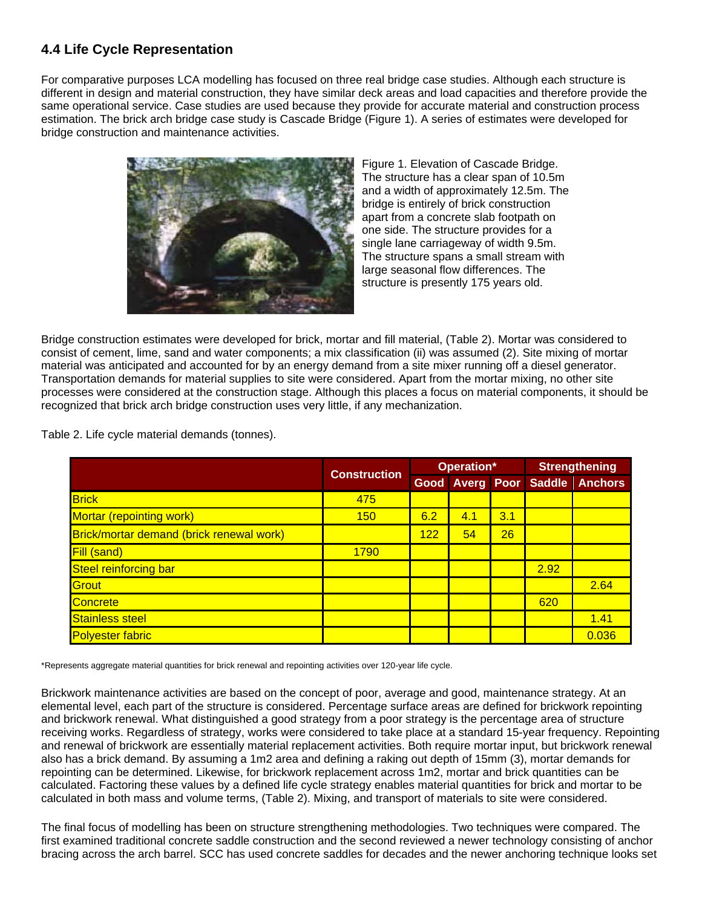### **4.4 Life Cycle Representation**

For comparative purposes LCA modelling has focused on three real bridge case studies. Although each structure is different in design and material construction, they have similar deck areas and load capacities and therefore provide the same operational service. Case studies are used because they provide for accurate material and construction process estimation. The brick arch bridge case study is Cascade Bridge (Figure 1). A series of estimates were developed for bridge construction and maintenance activities.



Figure 1. Elevation of Cascade Bridge. The structure has a clear span of 10.5m and a width of approximately 12.5m. The bridge is entirely of brick construction apart from a concrete slab footpath on one side. The structure provides for a single lane carriageway of width 9.5m. The structure spans a small stream with large seasonal flow differences. The structure is presently 175 years old.

Bridge construction estimates were developed for brick, mortar and fill material, (Table 2). Mortar was considered to consist of cement, lime, sand and water components; a mix classification (ii) was assumed (2). Site mixing of mortar material was anticipated and accounted for by an energy demand from a site mixer running off a diesel generator. Transportation demands for material supplies to site were considered. Apart from the mortar mixing, no other site processes were considered at the construction stage. Although this places a focus on material components, it should be recognized that brick arch bridge construction uses very little, if any mechanization.

Table 2. Life cycle material demands (tonnes).

|                                          |                     | Operation* |     |     | <b>Strengthening</b> |                                |
|------------------------------------------|---------------------|------------|-----|-----|----------------------|--------------------------------|
|                                          | <b>Construction</b> |            |     |     |                      | Good Averg Poor Saddle Anchors |
| <b>Brick</b>                             | 475                 |            |     |     |                      |                                |
| <b>Mortar (repointing work)</b>          | <b>150</b>          | 6.2        | 4.1 | 3.1 |                      |                                |
| Brick/mortar demand (brick renewal work) |                     | 122        | 54  | 26  |                      |                                |
| Fill (sand)                              | 1790                |            |     |     |                      |                                |
| Steel reinforcing bar                    |                     |            |     |     | 2.92                 |                                |
| Grout                                    |                     |            |     |     |                      | 2.64                           |
| <b>Concrete</b>                          |                     |            |     |     | 620                  |                                |
| <b>Stainless steel</b>                   |                     |            |     |     |                      | 1.41                           |
| <b>Polyester fabric</b>                  |                     |            |     |     |                      | 0.036                          |

\*Represents aggregate material quantities for brick renewal and repointing activities over 120-year life cycle.

Brickwork maintenance activities are based on the concept of poor, average and good, maintenance strategy. At an elemental level, each part of the structure is considered. Percentage surface areas are defined for brickwork repointing and brickwork renewal. What distinguished a good strategy from a poor strategy is the percentage area of structure receiving works. Regardless of strategy, works were considered to take place at a standard 15-year frequency. Repointing and renewal of brickwork are essentially material replacement activities. Both require mortar input, but brickwork renewal also has a brick demand. By assuming a 1m2 area and defining a raking out depth of 15mm (3), mortar demands for repointing can be determined. Likewise, for brickwork replacement across 1m2, mortar and brick quantities can be calculated. Factoring these values by a defined life cycle strategy enables material quantities for brick and mortar to be calculated in both mass and volume terms, (Table 2). Mixing, and transport of materials to site were considered.

The final focus of modelling has been on structure strengthening methodologies. Two techniques were compared. The first examined traditional concrete saddle construction and the second reviewed a newer technology consisting of anchor bracing across the arch barrel. SCC has used concrete saddles for decades and the newer anchoring technique looks set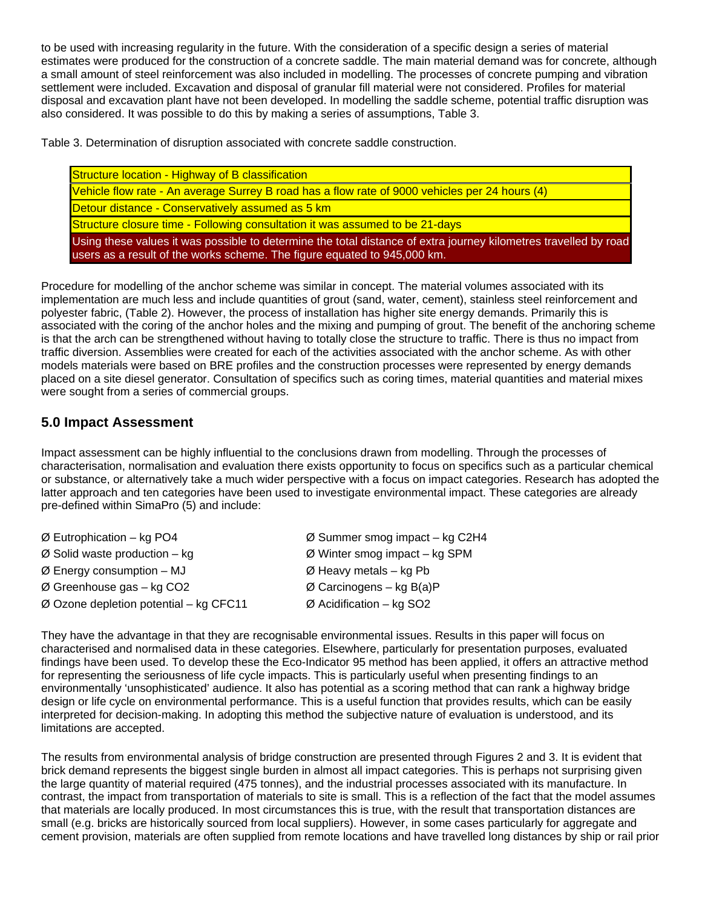to be used with increasing regularity in the future. With the consideration of a specific design a series of material estimates were produced for the construction of a concrete saddle. The main material demand was for concrete, although a small amount of steel reinforcement was also included in modelling. The processes of concrete pumping and vibration settlement were included. Excavation and disposal of granular fill material were not considered. Profiles for material disposal and excavation plant have not been developed. In modelling the saddle scheme, potential traffic disruption was also considered. It was possible to do this by making a series of assumptions, Table 3.

Table 3. Determination of disruption associated with concrete saddle construction.

Structure location - Highway of B classification Vehicle flow rate - An average Surrey B road has a flow rate of 9000 vehicles per 24 hours (4) Detour distance - Conservatively assumed as 5 km Structure closure time - Following consultation it was assumed to be 21-days Using these values it was possible to determine the total distance of extra journey kilometres travelled by road users as a result of the works scheme. The figure equated to 945,000 km.

Procedure for modelling of the anchor scheme was similar in concept. The material volumes associated with its implementation are much less and include quantities of grout (sand, water, cement), stainless steel reinforcement and polyester fabric, (Table 2). However, the process of installation has higher site energy demands. Primarily this is associated with the coring of the anchor holes and the mixing and pumping of grout. The benefit of the anchoring scheme is that the arch can be strengthened without having to totally close the structure to traffic. There is thus no impact from traffic diversion. Assemblies were created for each of the activities associated with the anchor scheme. As with other models materials were based on BRE profiles and the construction processes were represented by energy demands placed on a site diesel generator. Consultation of specifics such as coring times, material quantities and material mixes were sought from a series of commercial groups.

#### **5.0 Impact Assessment**

Impact assessment can be highly influential to the conclusions drawn from modelling. Through the processes of characterisation, normalisation and evaluation there exists opportunity to focus on specifics such as a particular chemical or substance, or alternatively take a much wider perspective with a focus on impact categories. Research has adopted the latter approach and ten categories have been used to investigate environmental impact. These categories are already pre-defined within SimaPro (5) and include:

| $\varnothing$ Eutrophication – kg PO4              | $\varnothing$ Summer smog impact – kg C2H4 |
|----------------------------------------------------|--------------------------------------------|
| $\varnothing$ Solid waste production – kg          | $\varnothing$ Winter smog impact – kg SPM  |
| $\varnothing$ Energy consumption – MJ              | $\varnothing$ Heavy metals – kg Pb         |
| $\varnothing$ Greenhouse gas - kg CO2              | $\varnothing$ Carcinogens – kg B(a)P       |
| $\varnothing$ Ozone depletion potential – kg CFC11 | $\varnothing$ Acidification – kg SO2       |

They have the advantage in that they are recognisable environmental issues. Results in this paper will focus on characterised and normalised data in these categories. Elsewhere, particularly for presentation purposes, evaluated findings have been used. To develop these the Eco-Indicator 95 method has been applied, it offers an attractive method for representing the seriousness of life cycle impacts. This is particularly useful when presenting findings to an environmentally 'unsophisticated' audience. It also has potential as a scoring method that can rank a highway bridge design or life cycle on environmental performance. This is a useful function that provides results, which can be easily interpreted for decision-making. In adopting this method the subjective nature of evaluation is understood, and its limitations are accepted.

The results from environmental analysis of bridge construction are presented through Figures 2 and 3. It is evident that brick demand represents the biggest single burden in almost all impact categories. This is perhaps not surprising given the large quantity of material required (475 tonnes), and the industrial processes associated with its manufacture. In contrast, the impact from transportation of materials to site is small. This is a reflection of the fact that the model assumes that materials are locally produced. In most circumstances this is true, with the result that transportation distances are small (e.g. bricks are historically sourced from local suppliers). However, in some cases particularly for aggregate and cement provision, materials are often supplied from remote locations and have travelled long distances by ship or rail prior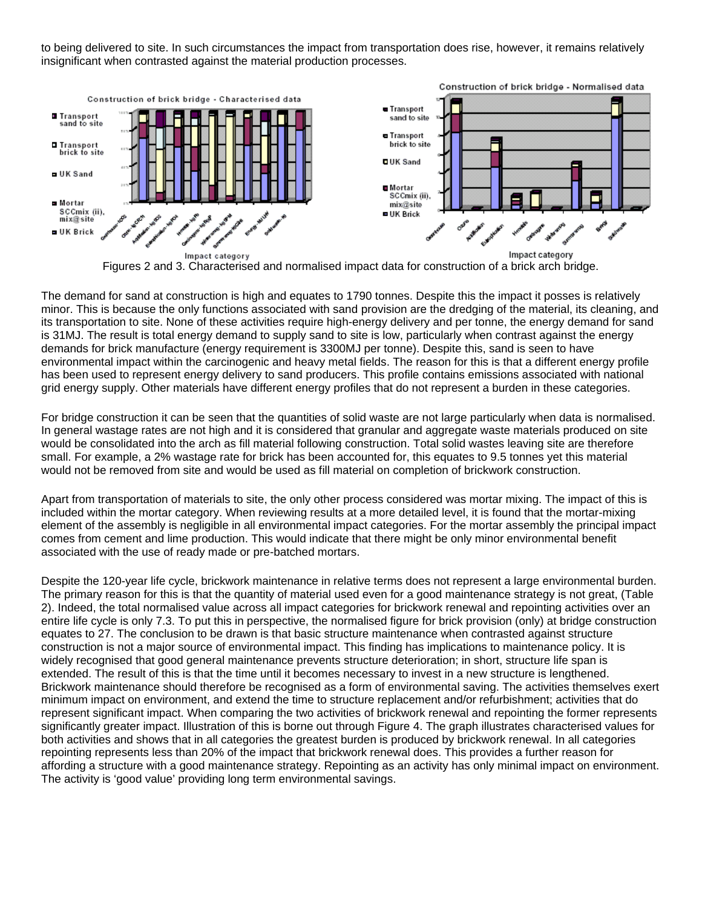to being delivered to site. In such circumstances the impact from transportation does rise, however, it remains relatively insignificant when contrasted against the material production processes.



Figures 2 and 3. Characterised and normalised impact data for construction of a brick arch bridge.

The demand for sand at construction is high and equates to 1790 tonnes. Despite this the impact it posses is relatively minor. This is because the only functions associated with sand provision are the dredging of the material, its cleaning, and its transportation to site. None of these activities require high-energy delivery and per tonne, the energy demand for sand is 31MJ. The result is total energy demand to supply sand to site is low, particularly when contrast against the energy demands for brick manufacture (energy requirement is 3300MJ per tonne). Despite this, sand is seen to have environmental impact within the carcinogenic and heavy metal fields. The reason for this is that a different energy profile has been used to represent energy delivery to sand producers. This profile contains emissions associated with national grid energy supply. Other materials have different energy profiles that do not represent a burden in these categories.

For bridge construction it can be seen that the quantities of solid waste are not large particularly when data is normalised. In general wastage rates are not high and it is considered that granular and aggregate waste materials produced on site would be consolidated into the arch as fill material following construction. Total solid wastes leaving site are therefore small. For example, a 2% wastage rate for brick has been accounted for, this equates to 9.5 tonnes yet this material would not be removed from site and would be used as fill material on completion of brickwork construction.

Apart from transportation of materials to site, the only other process considered was mortar mixing. The impact of this is included within the mortar category. When reviewing results at a more detailed level, it is found that the mortar-mixing element of the assembly is negligible in all environmental impact categories. For the mortar assembly the principal impact comes from cement and lime production. This would indicate that there might be only minor environmental benefit associated with the use of ready made or pre-batched mortars.

Despite the 120-year life cycle, brickwork maintenance in relative terms does not represent a large environmental burden. The primary reason for this is that the quantity of material used even for a good maintenance strategy is not great, (Table 2). Indeed, the total normalised value across all impact categories for brickwork renewal and repointing activities over an entire life cycle is only 7.3. To put this in perspective, the normalised figure for brick provision (only) at bridge construction equates to 27. The conclusion to be drawn is that basic structure maintenance when contrasted against structure construction is not a major source of environmental impact. This finding has implications to maintenance policy. It is widely recognised that good general maintenance prevents structure deterioration; in short, structure life span is extended. The result of this is that the time until it becomes necessary to invest in a new structure is lengthened. Brickwork maintenance should therefore be recognised as a form of environmental saving. The activities themselves exert minimum impact on environment, and extend the time to structure replacement and/or refurbishment; activities that do represent significant impact. When comparing the two activities of brickwork renewal and repointing the former represents significantly greater impact. Illustration of this is borne out through Figure 4. The graph illustrates characterised values for both activities and shows that in all categories the greatest burden is produced by brickwork renewal. In all categories repointing represents less than 20% of the impact that brickwork renewal does. This provides a further reason for affording a structure with a good maintenance strategy. Repointing as an activity has only minimal impact on environment. The activity is 'good value' providing long term environmental savings.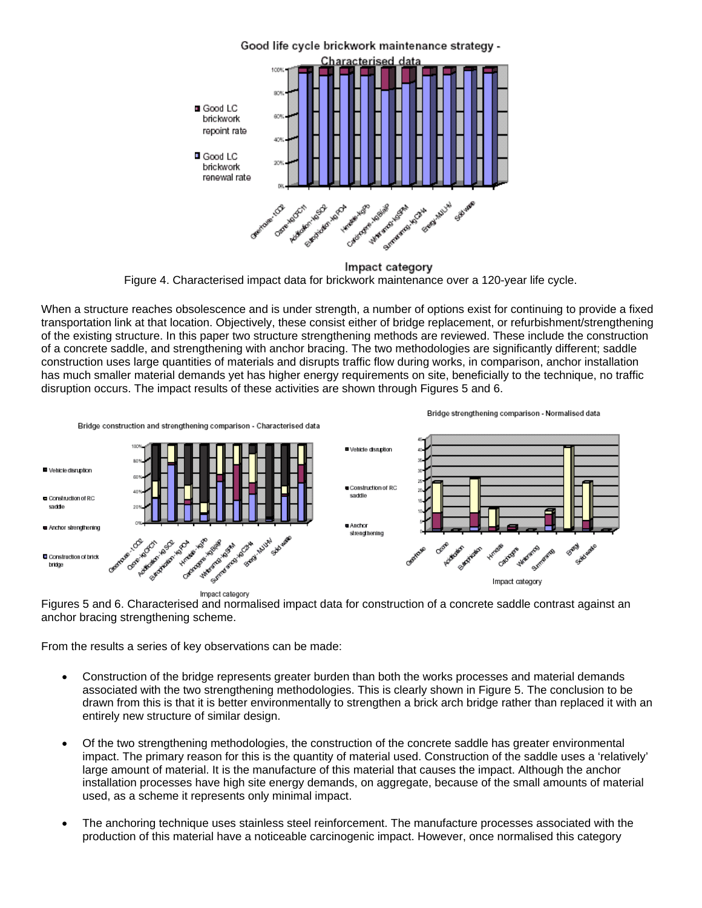

Impact category Figure 4. Characterised impact data for brickwork maintenance over a 120-year life cycle.

When a structure reaches obsolescence and is under strength, a number of options exist for continuing to provide a fixed transportation link at that location. Objectively, these consist either of bridge replacement, or refurbishment/strengthening of the existing structure. In this paper two structure strengthening methods are reviewed. These include the construction of a concrete saddle, and strengthening with anchor bracing. The two methodologies are significantly different; saddle construction uses large quantities of materials and disrupts traffic flow during works, in comparison, anchor installation has much smaller material demands yet has higher energy requirements on site, beneficially to the technique, no traffic disruption occurs. The impact results of these activities are shown through Figures 5 and 6.



Figures 5 and 6. Characterised and normalised impact data for construction of a concrete saddle contrast against an anchor bracing strengthening scheme.

From the results a series of key observations can be made:

- Construction of the bridge represents greater burden than both the works processes and material demands associated with the two strengthening methodologies. This is clearly shown in Figure 5. The conclusion to be drawn from this is that it is better environmentally to strengthen a brick arch bridge rather than replaced it with an entirely new structure of similar design.
- Of the two strengthening methodologies, the construction of the concrete saddle has greater environmental impact. The primary reason for this is the quantity of material used. Construction of the saddle uses a 'relatively' large amount of material. It is the manufacture of this material that causes the impact. Although the anchor installation processes have high site energy demands, on aggregate, because of the small amounts of material used, as a scheme it represents only minimal impact.
- The anchoring technique uses stainless steel reinforcement. The manufacture processes associated with the production of this material have a noticeable carcinogenic impact. However, once normalised this category